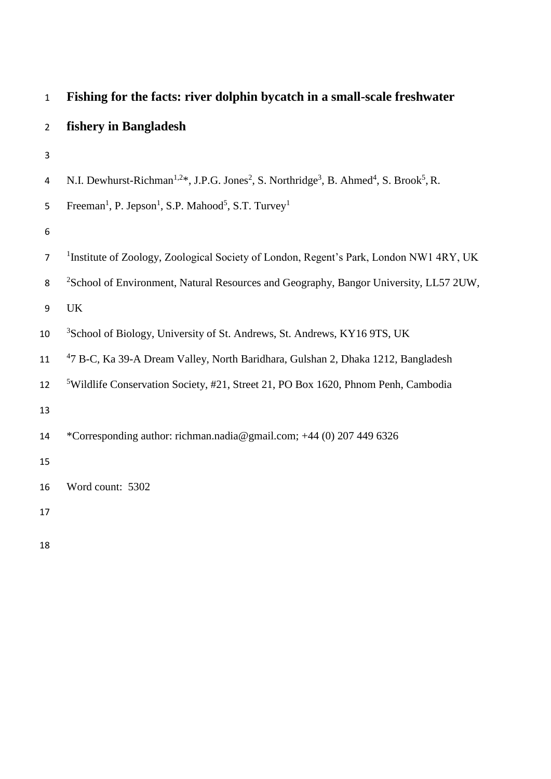| $\mathbf{1}$            | Fishing for the facts: river dolphin bycatch in a small-scale freshwater                                                                            |
|-------------------------|-----------------------------------------------------------------------------------------------------------------------------------------------------|
| $\overline{2}$          | fishery in Bangladesh                                                                                                                               |
| 3                       |                                                                                                                                                     |
| $\overline{\mathbf{4}}$ | N.I. Dewhurst-Richman <sup>1,2*</sup> , J.P.G. Jones <sup>2</sup> , S. Northridge <sup>3</sup> , B. Ahmed <sup>4</sup> , S. Brook <sup>5</sup> , R. |
| 5                       | Freeman <sup>1</sup> , P. Jepson <sup>1</sup> , S.P. Mahood <sup>5</sup> , S.T. Turvey <sup>1</sup>                                                 |
| 6                       |                                                                                                                                                     |
| $\overline{7}$          | <sup>1</sup> Institute of Zoology, Zoological Society of London, Regent's Park, London NW1 4RY, UK                                                  |
| 8                       | <sup>2</sup> School of Environment, Natural Resources and Geography, Bangor University, LL57 2UW,                                                   |
| 9                       | UK                                                                                                                                                  |
| 10                      | <sup>3</sup> School of Biology, University of St. Andrews, St. Andrews, KY16 9TS, UK                                                                |
| 11                      | <sup>4</sup> 7 B-C, Ka 39-A Dream Valley, North Baridhara, Gulshan 2, Dhaka 1212, Bangladesh                                                        |
| 12                      | <sup>5</sup> Wildlife Conservation Society, #21, Street 21, PO Box 1620, Phnom Penh, Cambodia                                                       |
| 13                      |                                                                                                                                                     |
| 14                      | *Corresponding author: richman.nadia@gmail.com; +44 (0) 207 449 6326                                                                                |
| 15                      |                                                                                                                                                     |
| 16                      | Word count: 5302                                                                                                                                    |
| 17                      |                                                                                                                                                     |
|                         |                                                                                                                                                     |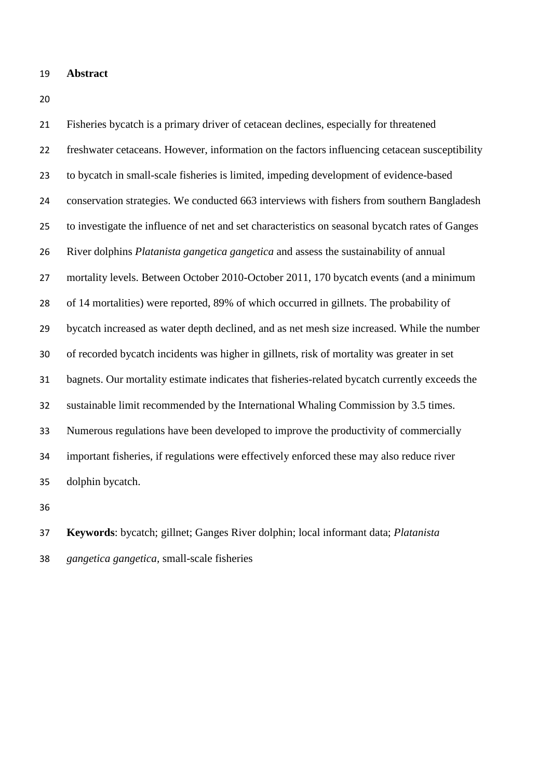- **Abstract**
- 

 Fisheries bycatch is a primary driver of cetacean declines, especially for threatened freshwater cetaceans. However, information on the factors influencing cetacean susceptibility to bycatch in small-scale fisheries is limited, impeding development of evidence-based conservation strategies. We conducted 663 interviews with fishers from southern Bangladesh to investigate the influence of net and set characteristics on seasonal bycatch rates of Ganges River dolphins *Platanista gangetica gangetica* and assess the sustainability of annual mortality levels. Between October 2010-October 2011, 170 bycatch events (and a minimum of 14 mortalities) were reported, 89% of which occurred in gillnets. The probability of bycatch increased as water depth declined, and as net mesh size increased. While the number of recorded bycatch incidents was higher in gillnets, risk of mortality was greater in set bagnets. Our mortality estimate indicates that fisheries-related bycatch currently exceeds the sustainable limit recommended by the International Whaling Commission by 3.5 times. Numerous regulations have been developed to improve the productivity of commercially important fisheries, if regulations were effectively enforced these may also reduce river dolphin bycatch.

 **Keywords**: bycatch; gillnet; Ganges River dolphin; local informant data; *Platanista gangetica gangetica,* small-scale fisheries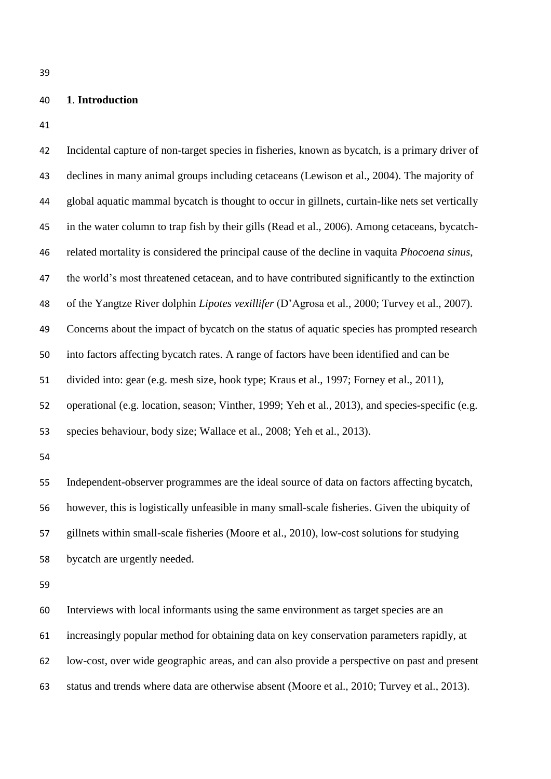# **1**. **Introduction**

| 42 | Incidental capture of non-target species in fisheries, known as bycatch, is a primary driver of       |
|----|-------------------------------------------------------------------------------------------------------|
| 43 | declines in many animal groups including cetaceans (Lewison et al., 2004). The majority of            |
| 44 | global aquatic mammal bycatch is thought to occur in gillnets, curtain-like nets set vertically       |
| 45 | in the water column to trap fish by their gills (Read et al., 2006). Among cetaceans, bycatch-        |
| 46 | related mortality is considered the principal cause of the decline in vaquita <i>Phocoena sinus</i> , |
| 47 | the world's most threatened cetacean, and to have contributed significantly to the extinction         |
| 48 | of the Yangtze River dolphin Lipotes vexillifer (D'Agrosa et al., 2000; Turvey et al., 2007).         |
| 49 | Concerns about the impact of bycatch on the status of aquatic species has prompted research           |
| 50 | into factors affecting bycatch rates. A range of factors have been identified and can be              |
| 51 | divided into: gear (e.g. mesh size, hook type; Kraus et al., 1997; Forney et al., 2011),              |
| 52 | operational (e.g. location, season; Vinther, 1999; Yeh et al., 2013), and species-specific (e.g.      |
|    |                                                                                                       |
| 53 | species behaviour, body size; Wallace et al., 2008; Yeh et al., 2013).                                |
| 54 |                                                                                                       |
| 55 | Independent-observer programmes are the ideal source of data on factors affecting bycatch,            |
| 56 | however, this is logistically unfeasible in many small-scale fisheries. Given the ubiquity of         |
| 57 | gillnets within small-scale fisheries (Moore et al., 2010), low-cost solutions for studying           |
| 58 | bycatch are urgently needed.                                                                          |
| 59 |                                                                                                       |
| 60 | Interviews with local informants using the same environment as target species are an                  |
| 61 | increasingly popular method for obtaining data on key conservation parameters rapidly, at             |
| 62 | low-cost, over wide geographic areas, and can also provide a perspective on past and present          |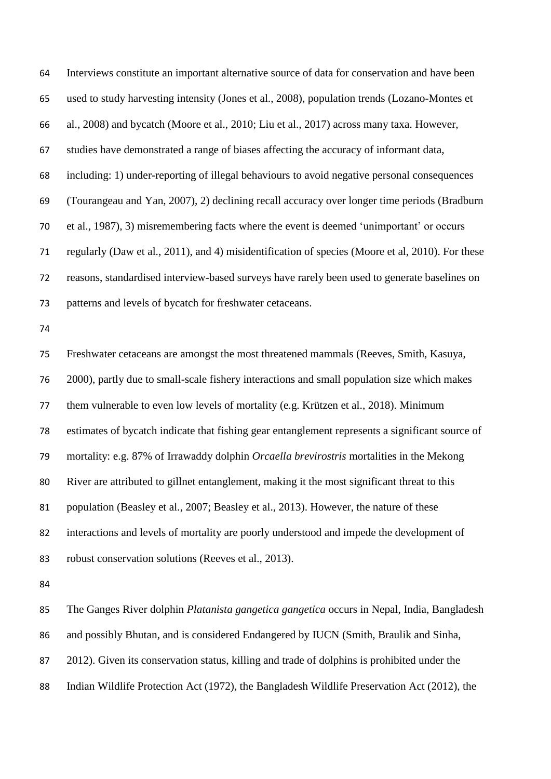Interviews constitute an important alternative source of data for conservation and have been used to study harvesting intensity (Jones et al., 2008), population trends (Lozano-Montes et al., 2008) and bycatch (Moore et al., 2010; Liu et al., 2017) across many taxa. However, studies have demonstrated a range of biases affecting the accuracy of informant data, including: 1) under-reporting of illegal behaviours to avoid negative personal consequences (Tourangeau and Yan, 2007), 2) declining recall accuracy over longer time periods (Bradburn et al., 1987), 3) misremembering facts where the event is deemed 'unimportant' or occurs regularly (Daw et al., 2011), and 4) misidentification of species (Moore et al, 2010). For these reasons, standardised interview-based surveys have rarely been used to generate baselines on patterns and levels of bycatch for freshwater cetaceans. Freshwater cetaceans are amongst the most threatened mammals (Reeves, Smith, Kasuya, 2000), partly due to small-scale fishery interactions and small population size which makes them vulnerable to even low levels of mortality (e.g. Krützen et al., 2018). Minimum estimates of bycatch indicate that fishing gear entanglement represents a significant source of mortality: e.g. 87% of Irrawaddy dolphin *Orcaella brevirostris* mortalities in the Mekong River are attributed to gillnet entanglement, making it the most significant threat to this population (Beasley et al., 2007; Beasley et al., 2013). However, the nature of these interactions and levels of mortality are poorly understood and impede the development of robust conservation solutions (Reeves et al., 2013). 

 The Ganges River dolphin *Platanista gangetica gangetica* occurs in Nepal, India, Bangladesh and possibly Bhutan, and is considered Endangered by IUCN (Smith, Braulik and Sinha, 2012). Given its conservation status, killing and trade of dolphins is prohibited under the Indian Wildlife Protection Act (1972), the Bangladesh Wildlife Preservation Act (2012), the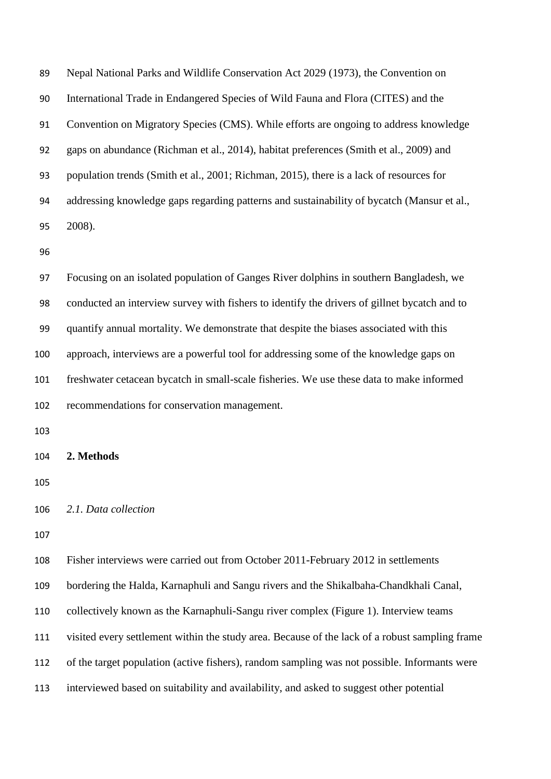Nepal National Parks and Wildlife Conservation Act 2029 (1973), the Convention on International Trade in Endangered Species of Wild Fauna and Flora (CITES) and the Convention on Migratory Species (CMS). While efforts are ongoing to address knowledge gaps on abundance (Richman et al., 2014), habitat preferences (Smith et al., 2009) and population trends (Smith et al., 2001; Richman, 2015), there is a lack of resources for addressing knowledge gaps regarding patterns and sustainability of bycatch (Mansur et al., 2008).

 Focusing on an isolated population of Ganges River dolphins in southern Bangladesh, we conducted an interview survey with fishers to identify the drivers of gillnet bycatch and to quantify annual mortality. We demonstrate that despite the biases associated with this approach, interviews are a powerful tool for addressing some of the knowledge gaps on freshwater cetacean bycatch in small-scale fisheries. We use these data to make informed recommendations for conservation management.

**2. Methods**

```
106 2.1. Data collection
```
 Fisher interviews were carried out from October 2011-February 2012 in settlements bordering the Halda, Karnaphuli and Sangu rivers and the Shikalbaha-Chandkhali Canal, collectively known as the Karnaphuli-Sangu river complex (Figure 1). Interview teams visited every settlement within the study area. Because of the lack of a robust sampling frame of the target population (active fishers), random sampling was not possible. Informants were interviewed based on suitability and availability, and asked to suggest other potential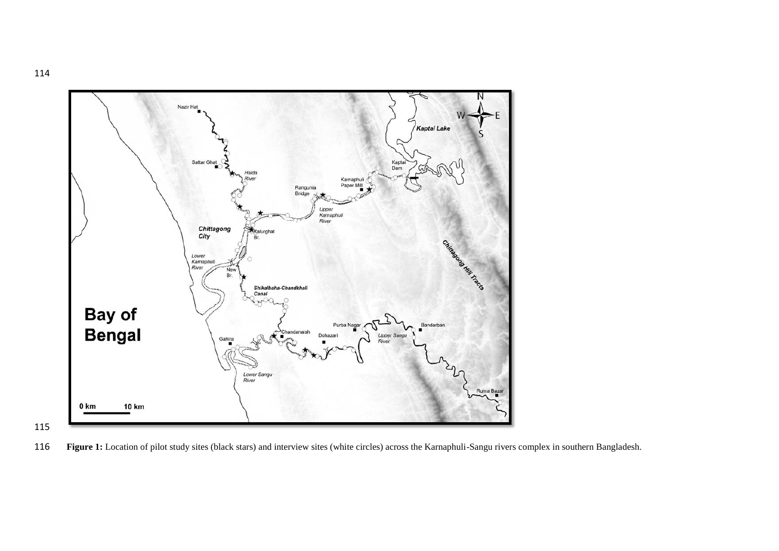



**Figure 1:** Location of pilot study sites (black stars) and interview sites (white circles) across the Karnaphuli-Sangu rivers complex in southern Bangladesh.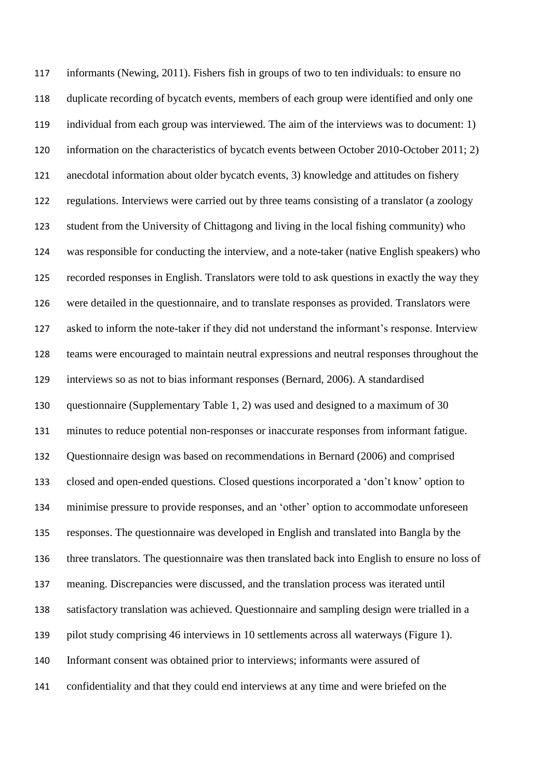informants (Newing, 2011). Fishers fish in groups of two to ten individuals: to ensure no duplicate recording of bycatch events, members of each group were identified and only one individual from each group was interviewed. The aim of the interviews was to document: 1) information on the characteristics of bycatch events between October 2010-October 2011; 2) anecdotal information about older bycatch events, 3) knowledge and attitudes on fishery regulations. Interviews were carried out by three teams consisting of a translator (a zoology student from the University of Chittagong and living in the local fishing community) who was responsible for conducting the interview, and a note-taker (native English speakers) who recorded responses in English. Translators were told to ask questions in exactly the way they were detailed in the questionnaire, and to translate responses as provided. Translators were asked to inform the note-taker if they did not understand the informant's response. Interview teams were encouraged to maintain neutral expressions and neutral responses throughout the interviews so as not to bias informant responses (Bernard, 2006). A standardised questionnaire (Supplementary Table 1, 2) was used and designed to a maximum of 30 minutes to reduce potential non-responses or inaccurate responses from informant fatigue. Questionnaire design was based on recommendations in Bernard (2006) and comprised closed and open-ended questions. Closed questions incorporated a 'don't know' option to minimise pressure to provide responses, and an 'other' option to accommodate unforeseen responses. The questionnaire was developed in English and translated into Bangla by the three translators. The questionnaire was then translated back into English to ensure no loss of meaning. Discrepancies were discussed, and the translation process was iterated until satisfactory translation was achieved. Questionnaire and sampling design were trialled in a pilot study comprising 46 interviews in 10 settlements across all waterways (Figure 1). Informant consent was obtained prior to interviews; informants were assured of confidentiality and that they could end interviews at any time and were briefed on the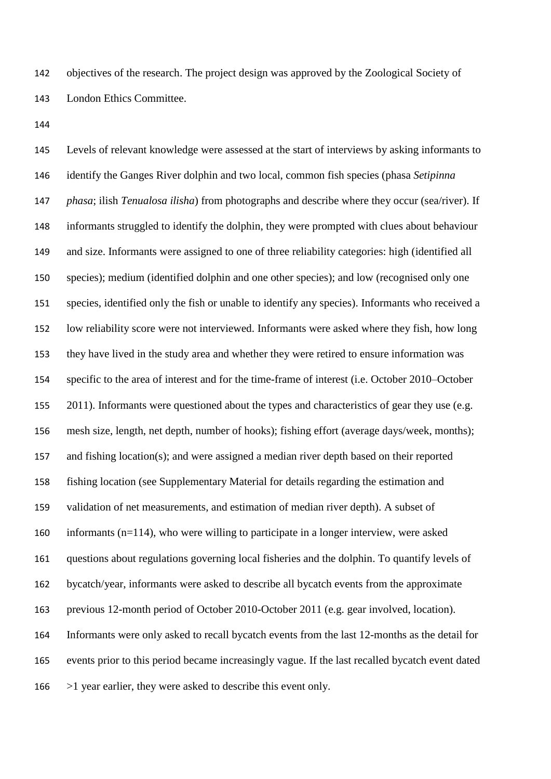objectives of the research. The project design was approved by the Zoological Society of London Ethics Committee.

 Levels of relevant knowledge were assessed at the start of interviews by asking informants to identify the Ganges River dolphin and two local, common fish species (phasa *Setipinna phasa*; ilish *Tenualosa ilisha*) from photographs and describe where they occur (sea/river). If informants struggled to identify the dolphin, they were prompted with clues about behaviour and size. Informants were assigned to one of three reliability categories: high (identified all species); medium (identified dolphin and one other species); and low (recognised only one species, identified only the fish or unable to identify any species). Informants who received a low reliability score were not interviewed. Informants were asked where they fish, how long they have lived in the study area and whether they were retired to ensure information was specific to the area of interest and for the time-frame of interest (i.e. October 2010–October 155 2011). Informants were questioned about the types and characteristics of gear they use (e.g. mesh size, length, net depth, number of hooks); fishing effort (average days/week, months); and fishing location(s); and were assigned a median river depth based on their reported fishing location (see Supplementary Material for details regarding the estimation and validation of net measurements, and estimation of median river depth). A subset of informants (n=114), who were willing to participate in a longer interview, were asked questions about regulations governing local fisheries and the dolphin. To quantify levels of bycatch/year, informants were asked to describe all bycatch events from the approximate previous 12-month period of October 2010-October 2011 (e.g. gear involved, location). Informants were only asked to recall bycatch events from the last 12-months as the detail for events prior to this period became increasingly vague. If the last recalled bycatch event dated >1 year earlier, they were asked to describe this event only.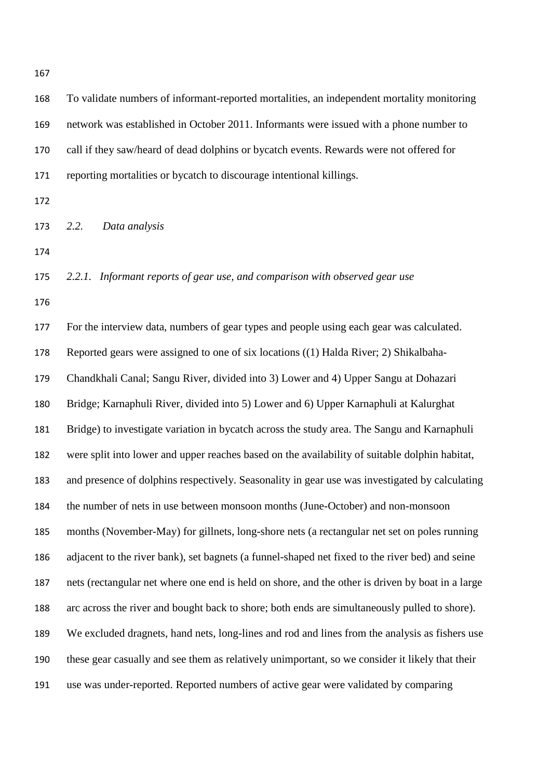| 168 | To validate numbers of informant-reported mortalities, an independent mortality monitoring       |
|-----|--------------------------------------------------------------------------------------------------|
| 169 | network was established in October 2011. Informants were issued with a phone number to           |
| 170 | call if they saw/heard of dead dolphins or bycatch events. Rewards were not offered for          |
| 171 | reporting mortalities or bycatch to discourage intentional killings.                             |
| 172 |                                                                                                  |
| 173 | 2.2.<br>Data analysis                                                                            |
| 174 |                                                                                                  |
| 175 | 2.2.1. Informant reports of gear use, and comparison with observed gear use                      |
| 176 |                                                                                                  |
| 177 | For the interview data, numbers of gear types and people using each gear was calculated.         |
| 178 | Reported gears were assigned to one of six locations ((1) Halda River; 2) Shikalbaha-            |
| 179 | Chandkhali Canal; Sangu River, divided into 3) Lower and 4) Upper Sangu at Dohazari              |
| 180 | Bridge; Karnaphuli River, divided into 5) Lower and 6) Upper Karnaphuli at Kalurghat             |
| 181 | Bridge) to investigate variation in bycatch across the study area. The Sangu and Karnaphuli      |
| 182 | were split into lower and upper reaches based on the availability of suitable dolphin habitat,   |
| 183 | and presence of dolphins respectively. Seasonality in gear use was investigated by calculating   |
| 184 | the number of nets in use between monsoon months (June-October) and non-monsoon                  |
| 185 | months (November-May) for gillnets, long-shore nets (a rectangular net set on poles running      |
| 186 | adjacent to the river bank), set bagnets (a funnel-shaped net fixed to the river bed) and seine  |
| 187 | nets (rectangular net where one end is held on shore, and the other is driven by boat in a large |
| 188 | arc across the river and bought back to shore; both ends are simultaneously pulled to shore).    |
| 189 | We excluded dragnets, hand nets, long-lines and rod and lines from the analysis as fishers use   |
| 190 | these gear casually and see them as relatively unimportant, so we consider it likely that their  |

use was under-reported. Reported numbers of active gear were validated by comparing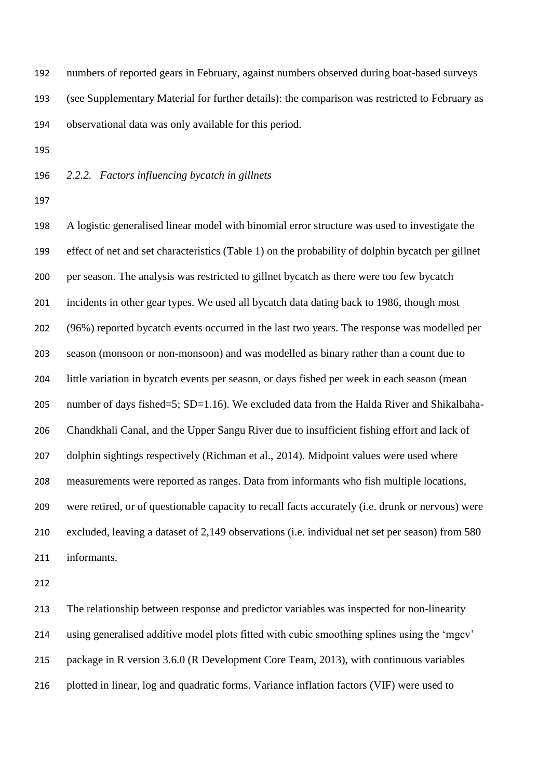numbers of reported gears in February, against numbers observed during boat-based surveys (see Supplementary Material for further details): the comparison was restricted to February as observational data was only available for this period.

*2.2.2. Factors influencing bycatch in gillnets*

 A logistic generalised linear model with binomial error structure was used to investigate the effect of net and set characteristics (Table 1) on the probability of dolphin bycatch per gillnet per season. The analysis was restricted to gillnet bycatch as there were too few bycatch incidents in other gear types. We used all bycatch data dating back to 1986, though most (96%) reported bycatch events occurred in the last two years. The response was modelled per season (monsoon or non-monsoon) and was modelled as binary rather than a count due to little variation in bycatch events per season, or days fished per week in each season (mean 205 number of days fished=5; SD=1.16). We excluded data from the Halda River and Shikalbaha- Chandkhali Canal, and the Upper Sangu River due to insufficient fishing effort and lack of dolphin sightings respectively (Richman et al., 2014). Midpoint values were used where measurements were reported as ranges. Data from informants who fish multiple locations, were retired, or of questionable capacity to recall facts accurately (i.e. drunk or nervous) were excluded, leaving a dataset of 2,149 observations (i.e. individual net set per season) from 580 informants.

 The relationship between response and predictor variables was inspected for non-linearity using generalised additive model plots fitted with cubic smoothing splines using the 'mgcv' package in R version 3.6.0 (R Development Core Team, 2013), with continuous variables plotted in linear, log and quadratic forms. Variance inflation factors (VIF) were used to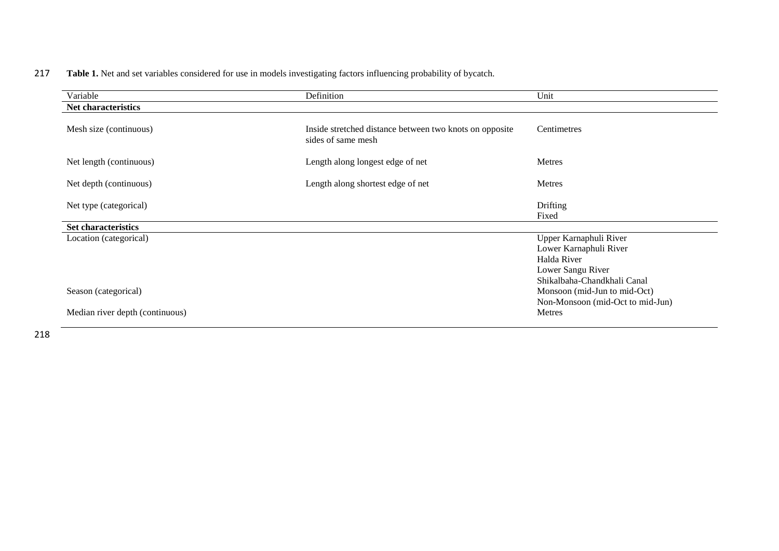## 217 **Table 1.** Net and set variables considered for use in models investigating factors influencing probability of bycatch.

| Variable                        | Definition                                                                    | Unit                                                                                                                |
|---------------------------------|-------------------------------------------------------------------------------|---------------------------------------------------------------------------------------------------------------------|
| Net characteristics             |                                                                               |                                                                                                                     |
| Mesh size (continuous)          | Inside stretched distance between two knots on opposite<br>sides of same mesh | Centimetres                                                                                                         |
| Net length (continuous)         | Length along longest edge of net                                              | Metres                                                                                                              |
| Net depth (continuous)          | Length along shortest edge of net                                             | Metres                                                                                                              |
| Net type (categorical)          |                                                                               | Drifting<br>Fixed                                                                                                   |
| Set characteristics             |                                                                               |                                                                                                                     |
| Location (categorical)          |                                                                               | Upper Karnaphuli River<br>Lower Karnaphuli River<br>Halda River<br>Lower Sangu River<br>Shikalbaha-Chandkhali Canal |
| Season (categorical)            |                                                                               | Monsoon (mid-Jun to mid-Oct)<br>Non-Monsoon (mid-Oct to mid-Jun)                                                    |
| Median river depth (continuous) |                                                                               | Metres                                                                                                              |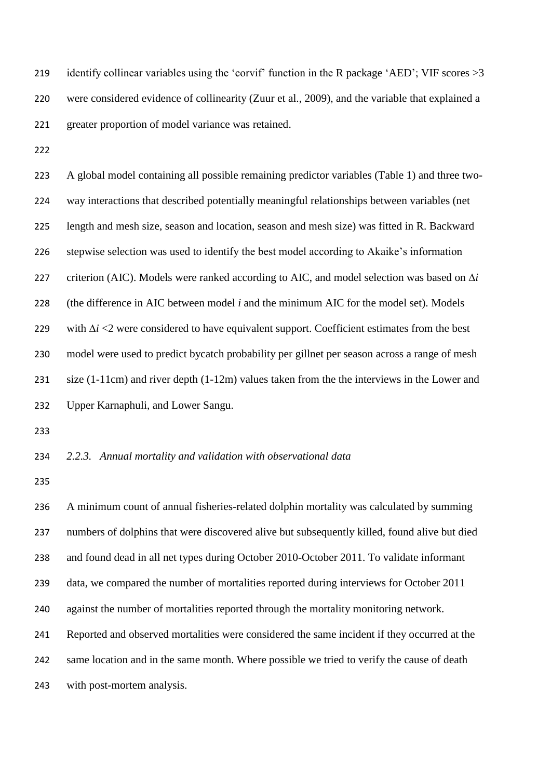219 identify collinear variables using the 'corvif' function in the R package 'AED'; VIF scores > 3 were considered evidence of collinearity (Zuur et al., 2009), and the variable that explained a greater proportion of model variance was retained.

 A global model containing all possible remaining predictor variables (Table 1) and three two- way interactions that described potentially meaningful relationships between variables (net length and mesh size, season and location, season and mesh size) was fitted in R. Backward stepwise selection was used to identify the best model according to Akaike's information criterion (AIC). Models were ranked according to AIC, and model selection was based on ∆*i* (the difference in AIC between model *i* and the minimum AIC for the model set). Models with ∆*i* <2 were considered to have equivalent support. Coefficient estimates from the best model were used to predict bycatch probability per gillnet per season across a range of mesh size (1-11cm) and river depth (1-12m) values taken from the the interviews in the Lower and Upper Karnaphuli, and Lower Sangu.

## *2.2.3. Annual mortality and validation with observational data*

 A minimum count of annual fisheries-related dolphin mortality was calculated by summing numbers of dolphins that were discovered alive but subsequently killed, found alive but died and found dead in all net types during October 2010-October 2011. To validate informant data, we compared the number of mortalities reported during interviews for October 2011 against the number of mortalities reported through the mortality monitoring network. Reported and observed mortalities were considered the same incident if they occurred at the 242 same location and in the same month. Where possible we tried to verify the cause of death with post-mortem analysis.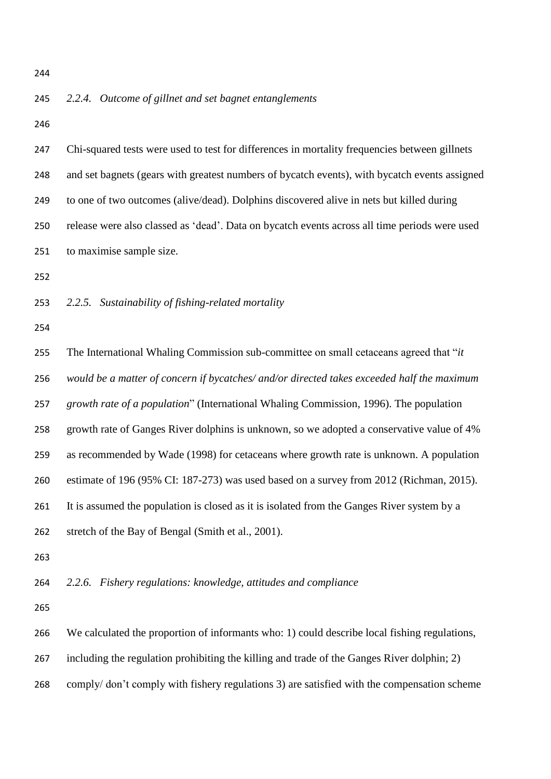### *2.2.4. Outcome of gillnet and set bagnet entanglements*

 Chi-squared tests were used to test for differences in mortality frequencies between gillnets and set bagnets (gears with greatest numbers of bycatch events), with bycatch events assigned to one of two outcomes (alive/dead). Dolphins discovered alive in nets but killed during release were also classed as 'dead'. Data on bycatch events across all time periods were used to maximise sample size. *2.2.5. Sustainability of fishing-related mortality* The International Whaling Commission sub-committee on small cetaceans agreed that "*it would be a matter of concern if bycatches/ and/or directed takes exceeded half the maximum growth rate of a population*" (International Whaling Commission, 1996). The population growth rate of Ganges River dolphins is unknown, so we adopted a conservative value of 4% as recommended by Wade (1998) for cetaceans where growth rate is unknown. A population estimate of 196 (95% CI: 187-273) was used based on a survey from 2012 (Richman, 2015). It is assumed the population is closed as it is isolated from the Ganges River system by a stretch of the Bay of Bengal (Smith et al., 2001). *2.2.6. Fishery regulations: knowledge, attitudes and compliance* We calculated the proportion of informants who: 1) could describe local fishing regulations, including the regulation prohibiting the killing and trade of the Ganges River dolphin; 2) comply/ don't comply with fishery regulations 3) are satisfied with the compensation scheme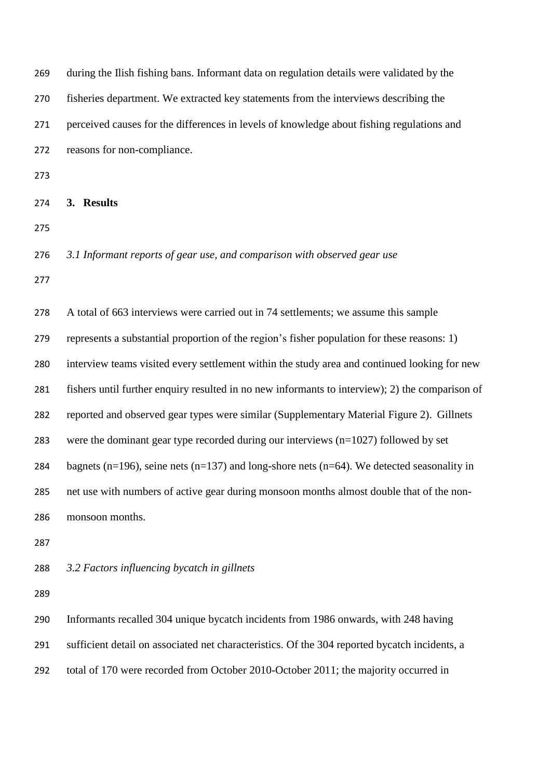| 269 | during the Ilish fishing bans. Informant data on regulation details were validated by the              |
|-----|--------------------------------------------------------------------------------------------------------|
| 270 | fisheries department. We extracted key statements from the interviews describing the                   |
| 271 | perceived causes for the differences in levels of knowledge about fishing regulations and              |
| 272 | reasons for non-compliance.                                                                            |
| 273 |                                                                                                        |
| 274 | 3. Results                                                                                             |
| 275 |                                                                                                        |
| 276 | 3.1 Informant reports of gear use, and comparison with observed gear use                               |
| 277 |                                                                                                        |
| 278 | A total of 663 interviews were carried out in 74 settlements; we assume this sample                    |
| 279 | represents a substantial proportion of the region's fisher population for these reasons: 1)            |
| 280 | interview teams visited every settlement within the study area and continued looking for new           |
| 281 | fishers until further enquiry resulted in no new informants to interview); 2) the comparison of        |
| 282 | reported and observed gear types were similar (Supplementary Material Figure 2). Gillnets              |
| 283 | were the dominant gear type recorded during our interviews $(n=1027)$ followed by set                  |
| 284 | bagnets ( $n=196$ ), seine nets ( $n=137$ ) and long-shore nets ( $n=64$ ). We detected seasonality in |
| 285 | net use with numbers of active gear during monsoon months almost double that of the non-               |
| 286 | monsoon months.                                                                                        |
| 287 |                                                                                                        |
| 288 | 3.2 Factors influencing bycatch in gillnets                                                            |
| 289 |                                                                                                        |
| 290 | Informants recalled 304 unique bycatch incidents from 1986 onwards, with 248 having                    |
| 291 | sufficient detail on associated net characteristics. Of the 304 reported bycatch incidents, a          |
|     |                                                                                                        |

total of 170 were recorded from October 2010-October 2011; the majority occurred in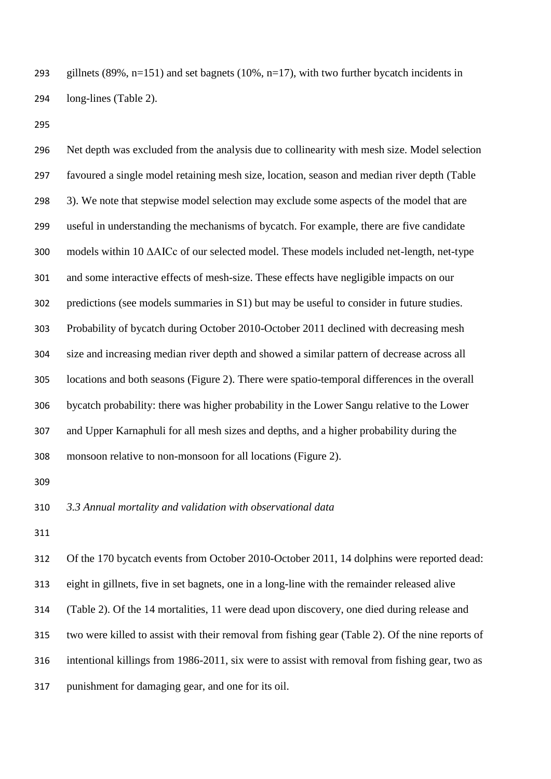293 gillnets (89%, n=151) and set bagnets (10%, n=17), with two further bycatch incidents in long-lines (Table 2).

 Net depth was excluded from the analysis due to collinearity with mesh size. Model selection favoured a single model retaining mesh size, location, season and median river depth (Table 3). We note that stepwise model selection may exclude some aspects of the model that are useful in understanding the mechanisms of bycatch. For example, there are five candidate models within 10 ΔAICc of our selected model. These models included net-length, net-type and some interactive effects of mesh-size. These effects have negligible impacts on our predictions (see models summaries in S1) but may be useful to consider in future studies. Probability of bycatch during October 2010-October 2011 declined with decreasing mesh size and increasing median river depth and showed a similar pattern of decrease across all locations and both seasons (Figure 2). There were spatio-temporal differences in the overall bycatch probability: there was higher probability in the Lower Sangu relative to the Lower and Upper Karnaphuli for all mesh sizes and depths, and a higher probability during the monsoon relative to non-monsoon for all locations (Figure 2).

*3.3 Annual mortality and validation with observational data*

 Of the 170 bycatch events from October 2010-October 2011, 14 dolphins were reported dead: eight in gillnets, five in set bagnets, one in a long-line with the remainder released alive (Table 2). Of the 14 mortalities, 11 were dead upon discovery, one died during release and two were killed to assist with their removal from fishing gear (Table 2). Of the nine reports of intentional killings from 1986-2011, six were to assist with removal from fishing gear, two as punishment for damaging gear, and one for its oil.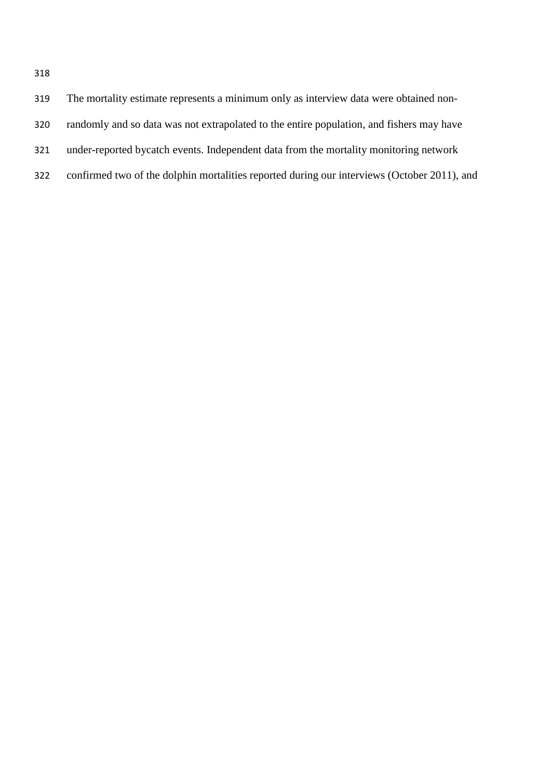| 319 | The mortality estimate represents a minimum only as interview data were obtained non-       |
|-----|---------------------------------------------------------------------------------------------|
| 320 | randomly and so data was not extrapolated to the entire population, and fishers may have    |
| 321 | under-reported by catch events. Independent data from the mortality monitoring network      |
| 322 | confirmed two of the dolphin mortalities reported during our interviews (October 2011), and |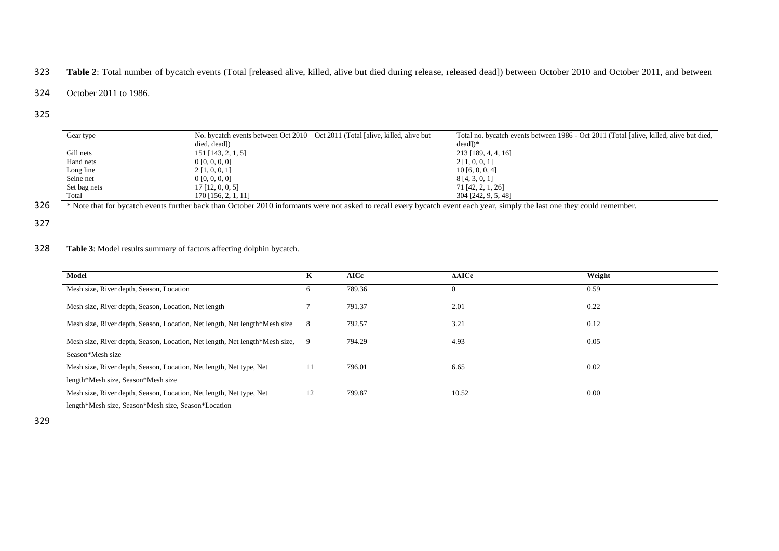## 323 **Table 2**: Total number of bycatch events (Total [released alive, killed, alive but died during release, released dead]) between October 2010 and October 2011, and between

#### 324 October 2011 to 1986.

#### 325

| Gear type    | No. by catch events between Oct $2010 -$ Oct $2011$ (Total [alive, killed, alive but | Total no. by catch events between 1986 - Oct 2011 (Total [alive, killed, alive but died, |
|--------------|--------------------------------------------------------------------------------------|------------------------------------------------------------------------------------------|
|              | died, dead])                                                                         | $dead$ ])*                                                                               |
| Gill nets    | $151$ [143, 2, 1, 5]                                                                 | $213$ [189, 4, 4, 16]                                                                    |
| Hand nets    | 0 [0, 0, 0, 0]                                                                       | 2 [1, 0, 0, 1]                                                                           |
| Long line    | 2 [1, 0, 0, 1]                                                                       | 10[6, 0, 0, 4]                                                                           |
| Seine net    | 0 [0, 0, 0, 0]                                                                       | 8 [4, 3, 0, 1]                                                                           |
| Set bag nets | $17$ [12, 0, 0, 5]                                                                   | 71 [42, 2, 1, 26]                                                                        |
| Total        | 170 [156, 2, 1, 11]                                                                  | 304 [242, 9, 5, 48]                                                                      |

<sup>13</sup> Note that for bycatch events further back than October 2010 informants were not asked to recall every bycatch event each year, simply the last one they could remember.

#### 327

#### 328 **Table 3**: Model results summary of factors affecting dolphin bycatch.

| Model                                                                       | K  | <b>AICc</b> | <b>AAICc</b> | Weight |
|-----------------------------------------------------------------------------|----|-------------|--------------|--------|
| Mesh size, River depth, Season, Location                                    | 6  | 789.36      |              | 0.59   |
| Mesh size, River depth, Season, Location, Net length                        |    | 791.37      | 2.01         | 0.22   |
| Mesh size, River depth, Season, Location, Net length, Net length*Mesh size  | -8 | 792.57      | 3.21         | 0.12   |
| Mesh size, River depth, Season, Location, Net length, Net length*Mesh size, | -9 | 794.29      | 4.93         | 0.05   |
| Season*Mesh size                                                            |    |             |              |        |
| Mesh size, River depth, Season, Location, Net length, Net type, Net         | 11 | 796.01      | 6.65         | 0.02   |
| length*Mesh size, Season*Mesh size                                          |    |             |              |        |
| Mesh size, River depth, Season, Location, Net length, Net type, Net         | 12 | 799.87      | 10.52        | 0.00   |
| length*Mesh size, Season*Mesh size, Season*Location                         |    |             |              |        |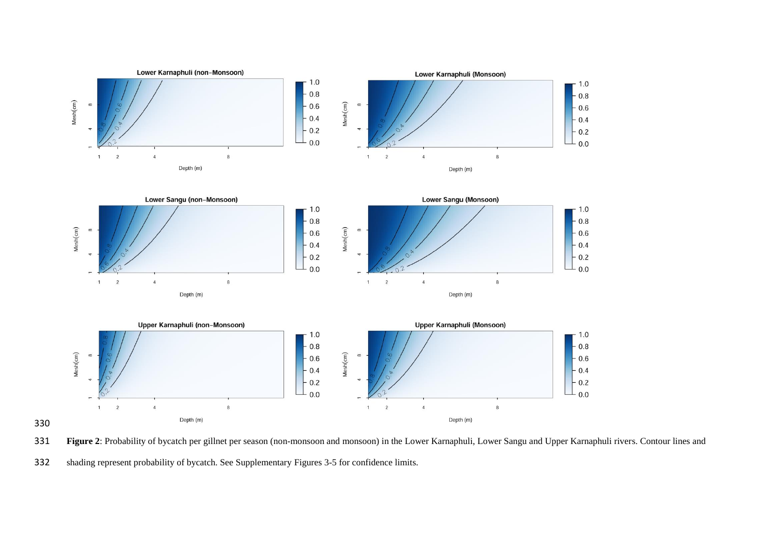

**Figure 2**: Probability of bycatch per gillnet per season (non-monsoon and monsoon) in the Lower Karnaphuli, Lower Sangu and Upper Karnaphuli rivers. Contour lines and

shading represent probability of bycatch. See Supplementary Figures 3-5 for confidence limits.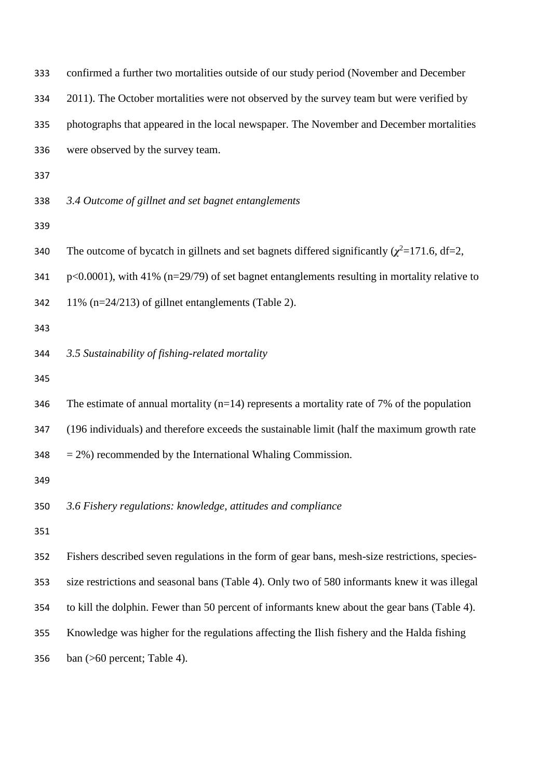| 333 | confirmed a further two mortalities outside of our study period (November and December              |
|-----|-----------------------------------------------------------------------------------------------------|
| 334 | 2011). The October mortalities were not observed by the survey team but were verified by            |
| 335 | photographs that appeared in the local newspaper. The November and December mortalities             |
| 336 | were observed by the survey team.                                                                   |
| 337 |                                                                                                     |
| 338 | 3.4 Outcome of gillnet and set bagnet entanglements                                                 |
| 339 |                                                                                                     |
| 340 | The outcome of bycatch in gillnets and set bagnets differed significantly $(\chi^2=171.6, df=2,$    |
| 341 | $p<0.0001$ ), with 41% ( $n=29/79$ ) of set bagnet entanglements resulting in mortality relative to |
| 342 | 11% (n=24/213) of gillnet entanglements (Table 2).                                                  |
| 343 |                                                                                                     |
| 344 | 3.5 Sustainability of fishing-related mortality                                                     |
| 345 |                                                                                                     |
| 346 | The estimate of annual mortality ( $n=14$ ) represents a mortality rate of 7% of the population     |
| 347 | (196 individuals) and therefore exceeds the sustainable limit (half the maximum growth rate         |
| 348 | $=$ 2%) recommended by the International Whaling Commission.                                        |
| 349 |                                                                                                     |
| 350 | 3.6 Fishery regulations: knowledge, attitudes and compliance                                        |
| 351 |                                                                                                     |
| 352 | Fishers described seven regulations in the form of gear bans, mesh-size restrictions, species-      |
| 353 | size restrictions and seasonal bans (Table 4). Only two of 580 informants knew it was illegal       |
| 354 | to kill the dolphin. Fewer than 50 percent of informants knew about the gear bans (Table 4).        |
| 355 | Knowledge was higher for the regulations affecting the Ilish fishery and the Halda fishing          |
| 356 | ban $($ >60 percent; Table 4).                                                                      |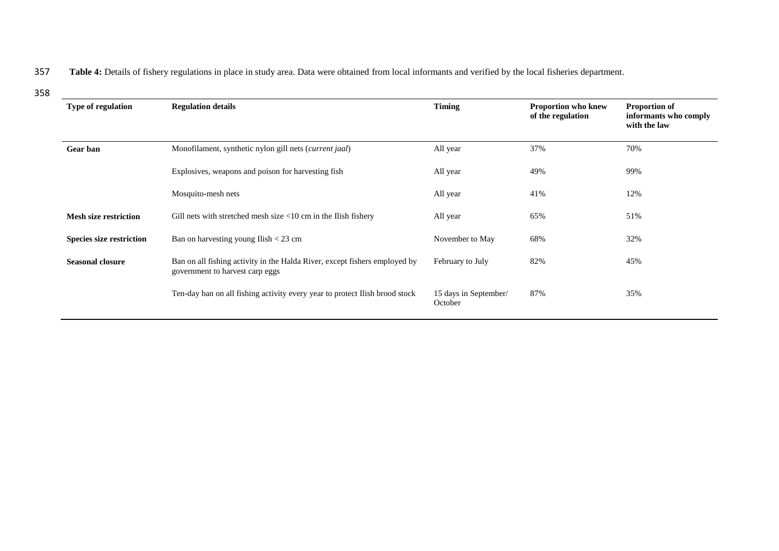### 357 Table 4: Details of fishery regulations in place in study area. Data were obtained from local informants and verified by the local fisheries department.

358

| Type of regulation              | <b>Regulation details</b>                                                                                     | <b>Timing</b>                    | Proportion who knew<br>of the regulation | <b>Proportion of</b><br>informants who comply<br>with the law |
|---------------------------------|---------------------------------------------------------------------------------------------------------------|----------------------------------|------------------------------------------|---------------------------------------------------------------|
| <b>Gear</b> ban                 | Monofilament, synthetic nylon gill nets (current jaal)                                                        | All year                         | 37%                                      | 70%                                                           |
|                                 | Explosives, weapons and poison for harvesting fish                                                            | All year                         | 49%                                      | 99%                                                           |
|                                 | Mosquito-mesh nets                                                                                            | All year                         | 41%                                      | 12%                                                           |
| <b>Mesh size restriction</b>    | Gill nets with stretched mesh size $<10$ cm in the Ilish fishery                                              | All year                         | 65%                                      | 51%                                                           |
| <b>Species size restriction</b> | Ban on harvesting young Ilish $<$ 23 cm                                                                       | November to May                  | 68%                                      | 32%                                                           |
| <b>Seasonal closure</b>         | Ban on all fishing activity in the Halda River, except fishers employed by<br>government to harvest carp eggs | February to July                 | 82%                                      | 45%                                                           |
|                                 | Ten-day ban on all fishing activity every year to protect Ilish brood stock                                   | 15 days in September/<br>October | 87%                                      | 35%                                                           |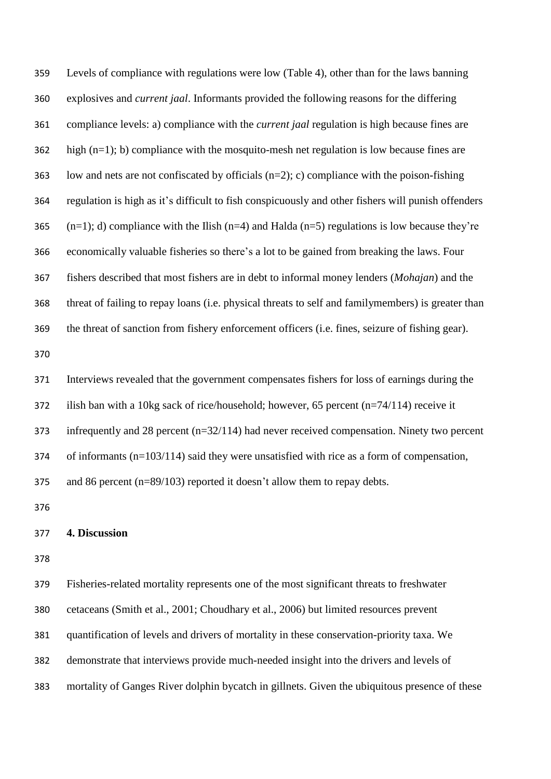Levels of compliance with regulations were low (Table 4), other than for the laws banning explosives and *current jaal*. Informants provided the following reasons for the differing compliance levels: a) compliance with the *current jaal* regulation is high because fines are high  $(n=1)$ ; b) compliance with the mosquito-mesh net regulation is low because fines are 363 low and nets are not confiscated by officials  $(n=2)$ ; c) compliance with the poison-fishing regulation is high as it's difficult to fish conspicuously and other fishers will punish offenders  $(n=1)$ ; d) compliance with the Ilish  $(n=4)$  and Halda  $(n=5)$  regulations is low because they're economically valuable fisheries so there's a lot to be gained from breaking the laws. Four fishers described that most fishers are in debt to informal money lenders (*Mohajan*) and the threat of failing to repay loans (i.e. physical threats to self and familymembers) is greater than the threat of sanction from fishery enforcement officers (i.e. fines, seizure of fishing gear). Interviews revealed that the government compensates fishers for loss of earnings during the ilish ban with a 10kg sack of rice/household; however, 65 percent (n=74/114) receive it infrequently and 28 percent (n=32/114) had never received compensation. Ninety two percent of informants (n=103/114) said they were unsatisfied with rice as a form of compensation, and 86 percent (n=89/103) reported it doesn't allow them to repay debts. **4. Discussion** 

 Fisheries-related mortality represents one of the most significant threats to freshwater cetaceans (Smith et al., 2001; Choudhary et al., 2006) but limited resources prevent quantification of levels and drivers of mortality in these conservation-priority taxa. We demonstrate that interviews provide much-needed insight into the drivers and levels of mortality of Ganges River dolphin bycatch in gillnets. Given the ubiquitous presence of these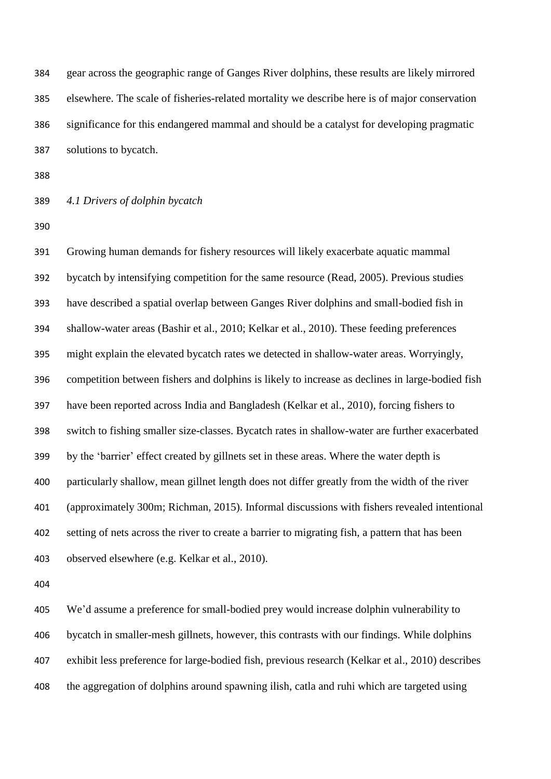gear across the geographic range of Ganges River dolphins, these results are likely mirrored elsewhere. The scale of fisheries-related mortality we describe here is of major conservation significance for this endangered mammal and should be a catalyst for developing pragmatic solutions to bycatch.

## *4.1 Drivers of dolphin bycatch*

 Growing human demands for fishery resources will likely exacerbate aquatic mammal bycatch by intensifying competition for the same resource (Read, 2005). Previous studies have described a spatial overlap between Ganges River dolphins and small-bodied fish in shallow-water areas (Bashir et al., 2010; Kelkar et al., 2010). These feeding preferences might explain the elevated bycatch rates we detected in shallow-water areas. Worryingly, competition between fishers and dolphins is likely to increase as declines in large-bodied fish have been reported across India and Bangladesh (Kelkar et al., 2010), forcing fishers to switch to fishing smaller size-classes. Bycatch rates in shallow-water are further exacerbated by the 'barrier' effect created by gillnets set in these areas. Where the water depth is particularly shallow, mean gillnet length does not differ greatly from the width of the river (approximately 300m; Richman, 2015). Informal discussions with fishers revealed intentional setting of nets across the river to create a barrier to migrating fish, a pattern that has been observed elsewhere (e.g. Kelkar et al., 2010).

 We'd assume a preference for small-bodied prey would increase dolphin vulnerability to bycatch in smaller-mesh gillnets, however, this contrasts with our findings. While dolphins exhibit less preference for large-bodied fish, previous research (Kelkar et al., 2010) describes the aggregation of dolphins around spawning ilish, catla and ruhi which are targeted using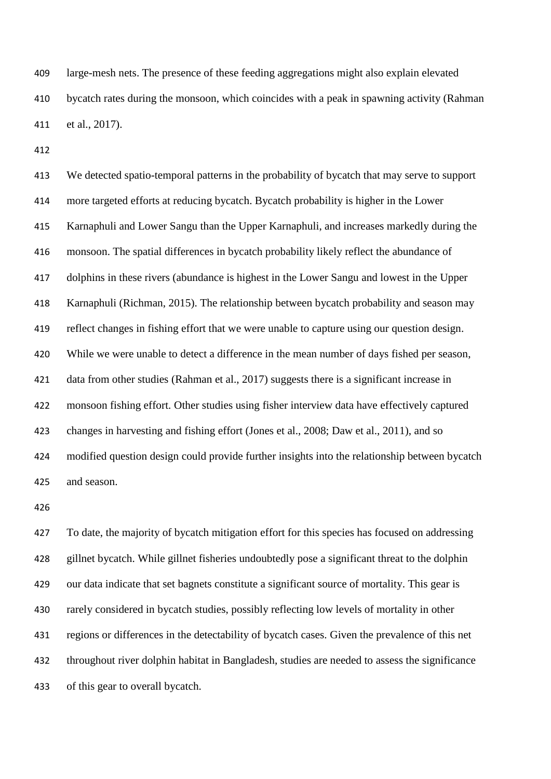large-mesh nets. The presence of these feeding aggregations might also explain elevated bycatch rates during the monsoon, which coincides with a peak in spawning activity (Rahman et al., 2017).

 We detected spatio-temporal patterns in the probability of bycatch that may serve to support more targeted efforts at reducing bycatch. Bycatch probability is higher in the Lower Karnaphuli and Lower Sangu than the Upper Karnaphuli, and increases markedly during the monsoon. The spatial differences in bycatch probability likely reflect the abundance of dolphins in these rivers (abundance is highest in the Lower Sangu and lowest in the Upper Karnaphuli (Richman, 2015). The relationship between bycatch probability and season may reflect changes in fishing effort that we were unable to capture using our question design. While we were unable to detect a difference in the mean number of days fished per season, data from other studies (Rahman et al., 2017) suggests there is a significant increase in monsoon fishing effort. Other studies using fisher interview data have effectively captured changes in harvesting and fishing effort (Jones et al., 2008; Daw et al., 2011), and so modified question design could provide further insights into the relationship between bycatch and season.

 To date, the majority of bycatch mitigation effort for this species has focused on addressing gillnet bycatch. While gillnet fisheries undoubtedly pose a significant threat to the dolphin our data indicate that set bagnets constitute a significant source of mortality. This gear is rarely considered in bycatch studies, possibly reflecting low levels of mortality in other regions or differences in the detectability of bycatch cases. Given the prevalence of this net throughout river dolphin habitat in Bangladesh, studies are needed to assess the significance of this gear to overall bycatch.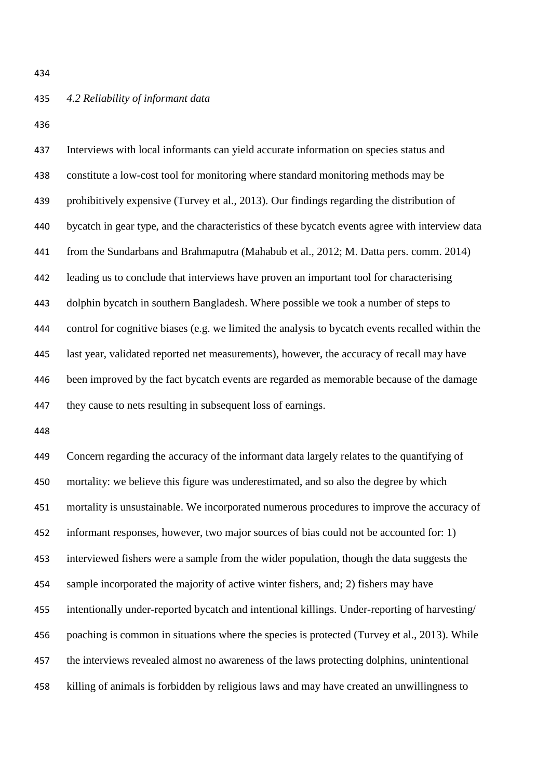## *4.2 Reliability of informant data*

 Interviews with local informants can yield accurate information on species status and constitute a low-cost tool for monitoring where standard monitoring methods may be prohibitively expensive (Turvey et al., 2013). Our findings regarding the distribution of bycatch in gear type, and the characteristics of these bycatch events agree with interview data from the Sundarbans and Brahmaputra (Mahabub et al., 2012; M. Datta pers. comm. 2014) leading us to conclude that interviews have proven an important tool for characterising dolphin bycatch in southern Bangladesh. Where possible we took a number of steps to control for cognitive biases (e.g. we limited the analysis to bycatch events recalled within the last year, validated reported net measurements), however, the accuracy of recall may have 446 been improved by the fact bycatch events are regarded as memorable because of the damage they cause to nets resulting in subsequent loss of earnings.

 Concern regarding the accuracy of the informant data largely relates to the quantifying of mortality: we believe this figure was underestimated, and so also the degree by which mortality is unsustainable. We incorporated numerous procedures to improve the accuracy of informant responses, however, two major sources of bias could not be accounted for: 1) interviewed fishers were a sample from the wider population, though the data suggests the sample incorporated the majority of active winter fishers, and; 2) fishers may have intentionally under-reported bycatch and intentional killings. Under-reporting of harvesting/ poaching is common in situations where the species is protected (Turvey et al., 2013). While the interviews revealed almost no awareness of the laws protecting dolphins, unintentional killing of animals is forbidden by religious laws and may have created an unwillingness to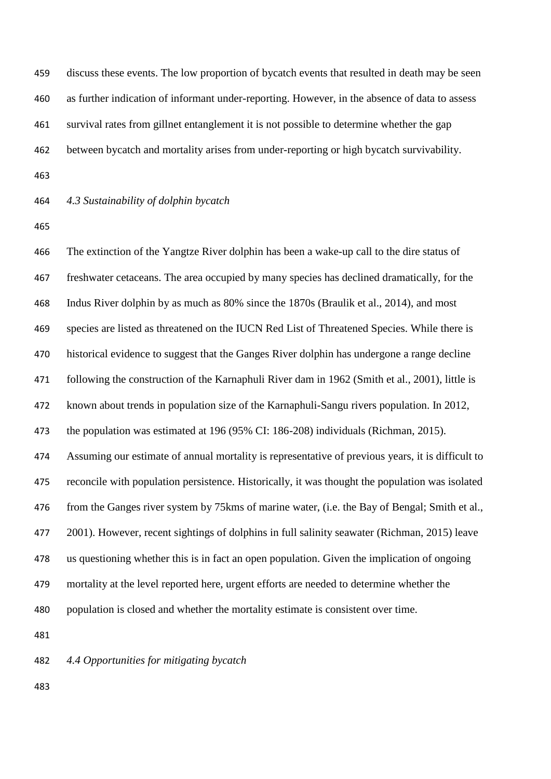discuss these events. The low proportion of bycatch events that resulted in death may be seen as further indication of informant under-reporting. However, in the absence of data to assess survival rates from gillnet entanglement it is not possible to determine whether the gap between bycatch and mortality arises from under-reporting or high bycatch survivability.

## *4.3 Sustainability of dolphin bycatch*

 The extinction of the Yangtze River dolphin has been a wake-up call to the dire status of freshwater cetaceans. The area occupied by many species has declined dramatically, for the Indus River dolphin by as much as 80% since the 1870s (Braulik et al., 2014), and most species are listed as threatened on the IUCN Red List of Threatened Species. While there is historical evidence to suggest that the Ganges River dolphin has undergone a range decline following the construction of the Karnaphuli River dam in 1962 (Smith et al., 2001), little is known about trends in population size of the Karnaphuli-Sangu rivers population. In 2012, the population was estimated at 196 (95% CI: 186-208) individuals (Richman, 2015). Assuming our estimate of annual mortality is representative of previous years, it is difficult to reconcile with population persistence. Historically, it was thought the population was isolated from the Ganges river system by 75kms of marine water, (i.e. the Bay of Bengal; Smith et al., 2001). However, recent sightings of dolphins in full salinity seawater (Richman, 2015) leave us questioning whether this is in fact an open population. Given the implication of ongoing mortality at the level reported here, urgent efforts are needed to determine whether the population is closed and whether the mortality estimate is consistent over time.

*4.4 Opportunities for mitigating bycatch*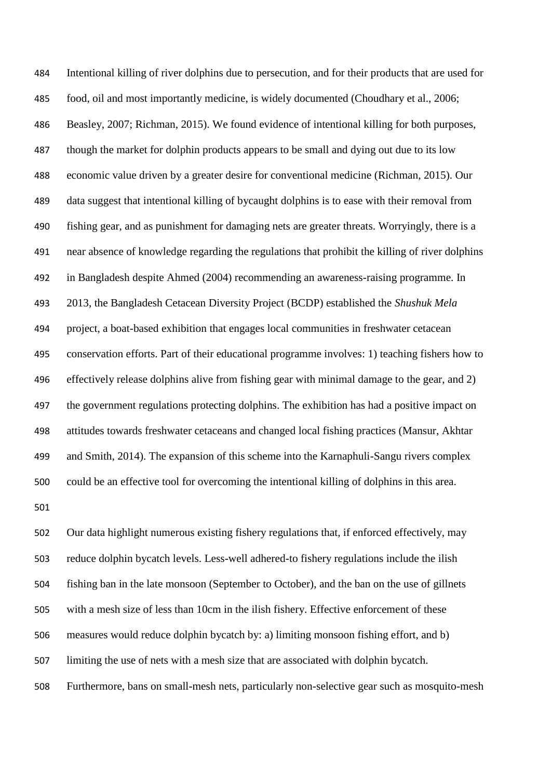Intentional killing of river dolphins due to persecution, and for their products that are used for food, oil and most importantly medicine, is widely documented (Choudhary et al., 2006; Beasley, 2007; Richman, 2015). We found evidence of intentional killing for both purposes, though the market for dolphin products appears to be small and dying out due to its low economic value driven by a greater desire for conventional medicine (Richman, 2015). Our data suggest that intentional killing of bycaught dolphins is to ease with their removal from fishing gear, and as punishment for damaging nets are greater threats. Worryingly, there is a near absence of knowledge regarding the regulations that prohibit the killing of river dolphins in Bangladesh despite Ahmed (2004) recommending an awareness-raising programme. In 2013, the Bangladesh Cetacean Diversity Project (BCDP) established the *Shushuk Mela*  project, a boat-based exhibition that engages local communities in freshwater cetacean conservation efforts. Part of their educational programme involves: 1) teaching fishers how to effectively release dolphins alive from fishing gear with minimal damage to the gear, and 2) the government regulations protecting dolphins. The exhibition has had a positive impact on attitudes towards freshwater cetaceans and changed local fishing practices (Mansur, Akhtar and Smith, 2014). The expansion of this scheme into the Karnaphuli-Sangu rivers complex could be an effective tool for overcoming the intentional killing of dolphins in this area. 

 Our data highlight numerous existing fishery regulations that, if enforced effectively, may reduce dolphin bycatch levels. Less-well adhered-to fishery regulations include the ilish fishing ban in the late monsoon (September to October), and the ban on the use of gillnets with a mesh size of less than 10cm in the ilish fishery. Effective enforcement of these measures would reduce dolphin bycatch by: a) limiting monsoon fishing effort, and b) limiting the use of nets with a mesh size that are associated with dolphin bycatch. Furthermore, bans on small-mesh nets, particularly non-selective gear such as mosquito-mesh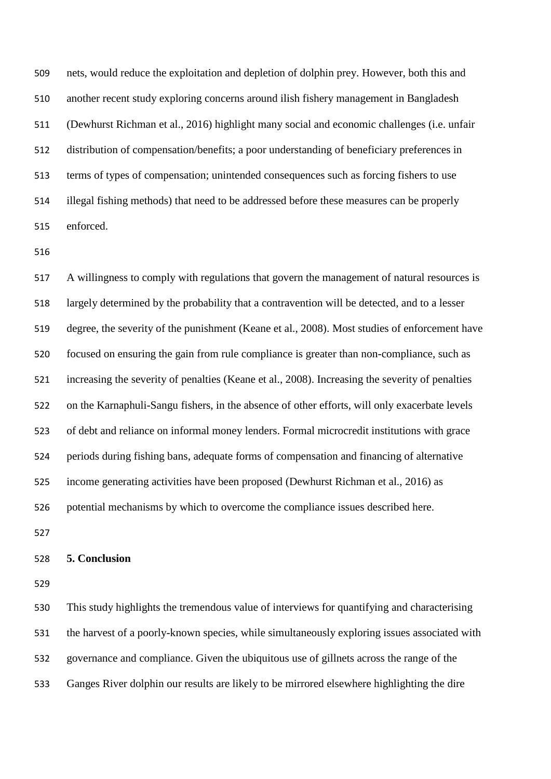nets, would reduce the exploitation and depletion of dolphin prey. However, both this and another recent study exploring concerns around ilish fishery management in Bangladesh (Dewhurst Richman et al., 2016) highlight many social and economic challenges (i.e. unfair distribution of compensation/benefits; a poor understanding of beneficiary preferences in terms of types of compensation; unintended consequences such as forcing fishers to use illegal fishing methods) that need to be addressed before these measures can be properly enforced.

 A willingness to comply with regulations that govern the management of natural resources is largely determined by the probability that a contravention will be detected, and to a lesser degree, the severity of the punishment (Keane et al., 2008). Most studies of enforcement have focused on ensuring the gain from rule compliance is greater than non-compliance, such as increasing the severity of penalties (Keane et al., 2008). Increasing the severity of penalties on the Karnaphuli-Sangu fishers, in the absence of other efforts, will only exacerbate levels of debt and reliance on informal money lenders. Formal microcredit institutions with grace periods during fishing bans, adequate forms of compensation and financing of alternative income generating activities have been proposed (Dewhurst Richman et al., 2016) as potential mechanisms by which to overcome the compliance issues described here.

#### **5. Conclusion**

 This study highlights the tremendous value of interviews for quantifying and characterising the harvest of a poorly-known species, while simultaneously exploring issues associated with governance and compliance. Given the ubiquitous use of gillnets across the range of the Ganges River dolphin our results are likely to be mirrored elsewhere highlighting the dire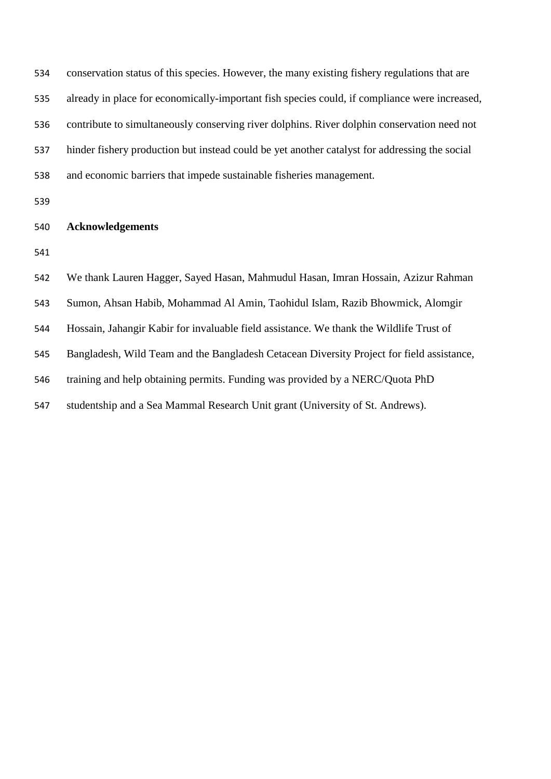| 534 | conservation status of this species. However, the many existing fishery regulations that are  |
|-----|-----------------------------------------------------------------------------------------------|
| 535 | already in place for economically-important fish species could, if compliance were increased, |
| 536 | contribute to simultaneously conserving river dolphins. River dolphin conservation need not   |
| 537 | hinder fishery production but instead could be yet another catalyst for addressing the social |
| 538 | and economic barriers that impede sustainable fisheries management.                           |
| 539 |                                                                                               |
| 540 | <b>Acknowledgements</b>                                                                       |
| 541 |                                                                                               |
| 542 | We thank Lauren Hagger, Sayed Hasan, Mahmudul Hasan, Imran Hossain, Azizur Rahman             |
| 543 | Sumon, Ahsan Habib, Mohammad Al Amin, Taohidul Islam, Razib Bhowmick, Alomgir                 |
| 544 | Hossain, Jahangir Kabir for invaluable field assistance. We thank the Wildlife Trust of       |
| 545 | Bangladesh, Wild Team and the Bangladesh Cetacean Diversity Project for field assistance,     |
| 546 | training and help obtaining permits. Funding was provided by a NERC/Quota PhD                 |
| 547 | studentship and a Sea Mammal Research Unit grant (University of St. Andrews).                 |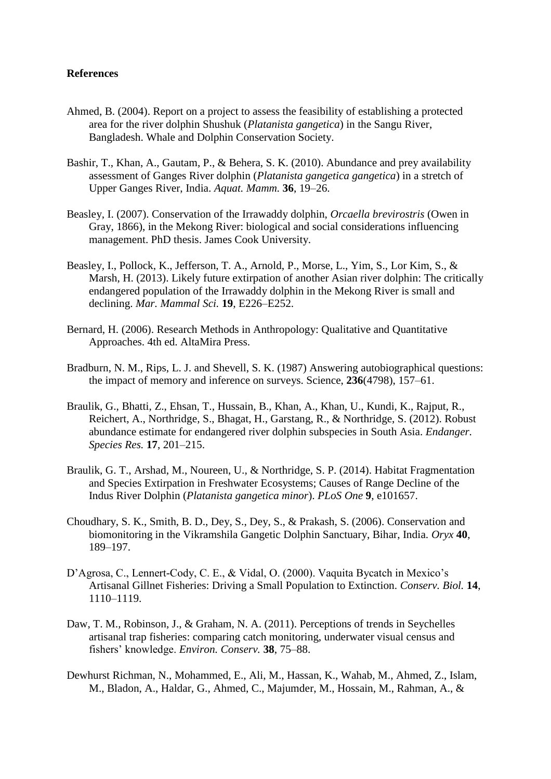## **References**

- Ahmed, B. (2004). Report on a project to assess the feasibility of establishing a protected area for the river dolphin Shushuk (*Platanista gangetica*) in the Sangu River, Bangladesh. Whale and Dolphin Conservation Society.
- Bashir, T., Khan, A., Gautam, P., & Behera, S. K. (2010). Abundance and prey availability assessment of Ganges River dolphin (*Platanista gangetica gangetica*) in a stretch of Upper Ganges River, India. *Aquat. Mamm.* **36**, 19–26.
- Beasley, I. (2007). Conservation of the Irrawaddy dolphin, *Orcaella brevirostris* (Owen in Gray, 1866), in the Mekong River: biological and social considerations influencing management. PhD thesis. James Cook University.
- Beasley, I., Pollock, K., Jefferson, T. A., Arnold, P., Morse, L., Yim, S., Lor Kim, S., & Marsh, H. (2013). Likely future extirpation of another Asian river dolphin: The critically endangered population of the Irrawaddy dolphin in the Mekong River is small and declining. *Mar. Mammal Sci.* **19**, E226–E252.
- Bernard, H. (2006). Research Methods in Anthropology: Qualitative and Quantitative Approaches. 4th ed. AltaMira Press.
- Bradburn, N. M., Rips, L. J. and Shevell, S. K. (1987) Answering autobiographical questions: the impact of memory and inference on surveys. Science, **236**(4798), 157–61.
- Braulik, G., Bhatti, Z., Ehsan, T., Hussain, B., Khan, A., Khan, U., Kundi, K., Rajput, R., Reichert, A., Northridge, S., Bhagat, H., Garstang, R., & Northridge, S. (2012). Robust abundance estimate for endangered river dolphin subspecies in South Asia. *Endanger. Species Res.* **17**, 201–215.
- Braulik, G. T., Arshad, M., Noureen, U., & Northridge, S. P. (2014). Habitat Fragmentation and Species Extirpation in Freshwater Ecosystems; Causes of Range Decline of the Indus River Dolphin (*Platanista gangetica minor*). *PLoS One* **9**, e101657.
- Choudhary, S. K., Smith, B. D., Dey, S., Dey, S., & Prakash, S. (2006). Conservation and biomonitoring in the Vikramshila Gangetic Dolphin Sanctuary, Bihar, India. *Oryx* **40**, 189–197.
- D'Agrosa, C., Lennert-Cody, C. E., & Vidal, O. (2000). Vaquita Bycatch in Mexico's Artisanal Gillnet Fisheries: Driving a Small Population to Extinction. *Conserv. Biol.* **14**, 1110–1119.
- Daw, T. M., Robinson, J., & Graham, N. A. (2011). Perceptions of trends in Seychelles artisanal trap fisheries: comparing catch monitoring, underwater visual census and fishers' knowledge. *Environ. Conserv.* **38**, 75–88.
- Dewhurst Richman, N., Mohammed, E., Ali, M., Hassan, K., Wahab, M., Ahmed, Z., Islam, M., Bladon, A., Haldar, G., Ahmed, C., Majumder, M., Hossain, M., Rahman, A., &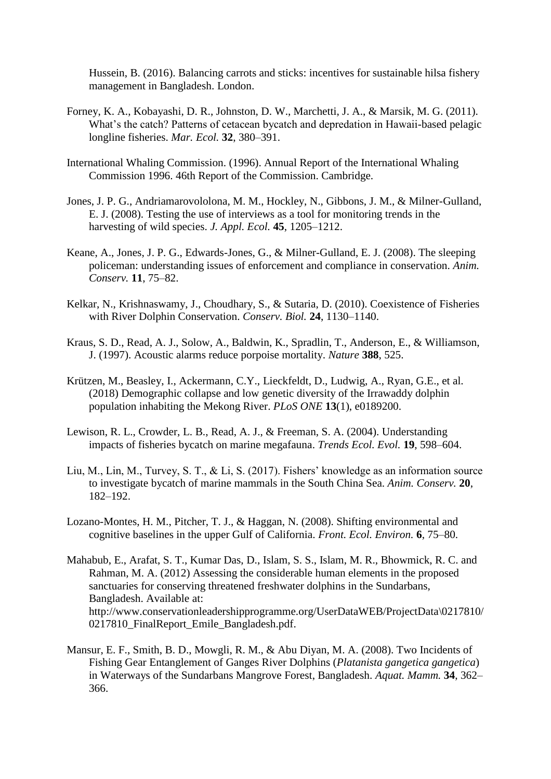Hussein, B. (2016). Balancing carrots and sticks: incentives for sustainable hilsa fishery management in Bangladesh. London.

- Forney, K. A., Kobayashi, D. R., Johnston, D. W., Marchetti, J. A., & Marsik, M. G. (2011). What's the catch? Patterns of cetacean bycatch and depredation in Hawaii-based pelagic longline fisheries. *Mar. Ecol.* **32**, 380–391.
- International Whaling Commission. (1996). Annual Report of the International Whaling Commission 1996. 46th Report of the Commission. Cambridge.
- Jones, J. P. G., Andriamarovololona, M. M., Hockley, N., Gibbons, J. M., & Milner-Gulland, E. J. (2008). Testing the use of interviews as a tool for monitoring trends in the harvesting of wild species. *J. Appl. Ecol.* **45**, 1205–1212.
- Keane, A., Jones, J. P. G., Edwards-Jones, G., & Milner-Gulland, E. J. (2008). The sleeping policeman: understanding issues of enforcement and compliance in conservation. *Anim. Conserv.* **11**, 75–82.
- Kelkar, N., Krishnaswamy, J., Choudhary, S., & Sutaria, D. (2010). Coexistence of Fisheries with River Dolphin Conservation. *Conserv. Biol.* **24**, 1130–1140.
- Kraus, S. D., Read, A. J., Solow, A., Baldwin, K., Spradlin, T., Anderson, E., & Williamson, J. (1997). Acoustic alarms reduce porpoise mortality. *Nature* **388**, 525.
- Krützen, M., Beasley, I., Ackermann, C.Y., Lieckfeldt, D., Ludwig, A., Ryan, G.E., et al. (2018) Demographic collapse and low genetic diversity of the Irrawaddy dolphin population inhabiting the Mekong River. *PLoS ONE* **13**(1), e0189200.
- Lewison, R. L., Crowder, L. B., Read, A. J., & Freeman, S. A. (2004). Understanding impacts of fisheries bycatch on marine megafauna. *Trends Ecol. Evol.* **19**, 598–604.
- Liu, M., Lin, M., Turvey, S. T., & Li, S. (2017). Fishers' knowledge as an information source to investigate bycatch of marine mammals in the South China Sea. *Anim. Conserv.* **20**, 182–192.
- Lozano-Montes, H. M., Pitcher, T. J., & Haggan, N. (2008). Shifting environmental and cognitive baselines in the upper Gulf of California. *Front. Ecol. Environ.* **6**, 75–80.
- Mahabub, E., Arafat, S. T., Kumar Das, D., Islam, S. S., Islam, M. R., Bhowmick, R. C. and Rahman, M. A. (2012) Assessing the considerable human elements in the proposed sanctuaries for conserving threatened freshwater dolphins in the Sundarbans, Bangladesh. Available at: http://www.conservationleadershipprogramme.org/UserDataWEB/ProjectData\0217810/ 0217810\_FinalReport\_Emile\_Bangladesh.pdf.
- Mansur, E. F., Smith, B. D., Mowgli, R. M., & Abu Diyan, M. A. (2008). Two Incidents of Fishing Gear Entanglement of Ganges River Dolphins (*Platanista gangetica gangetica*) in Waterways of the Sundarbans Mangrove Forest, Bangladesh. *Aquat. Mamm.* **34**, 362– 366.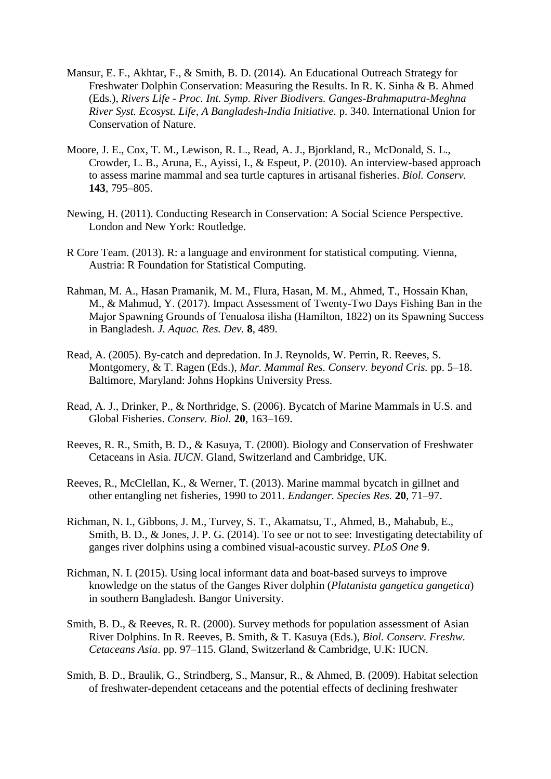- Mansur, E. F., Akhtar, F., & Smith, B. D. (2014). An Educational Outreach Strategy for Freshwater Dolphin Conservation: Measuring the Results. In R. K. Sinha & B. Ahmed (Eds.), *Rivers Life - Proc. Int. Symp. River Biodivers. Ganges-Brahmaputra-Meghna River Syst. Ecosyst. Life, A Bangladesh-India Initiative.* p. 340. International Union for Conservation of Nature.
- Moore, J. E., Cox, T. M., Lewison, R. L., Read, A. J., Bjorkland, R., McDonald, S. L., Crowder, L. B., Aruna, E., Ayissi, I., & Espeut, P. (2010). An interview-based approach to assess marine mammal and sea turtle captures in artisanal fisheries. *Biol. Conserv.* **143**, 795–805.
- Newing, H. (2011). Conducting Research in Conservation: A Social Science Perspective. London and New York: Routledge.
- R Core Team. (2013). R: a language and environment for statistical computing. Vienna, Austria: R Foundation for Statistical Computing.
- Rahman, M. A., Hasan Pramanik, M. M., Flura, Hasan, M. M., Ahmed, T., Hossain Khan, M., & Mahmud, Y. (2017). Impact Assessment of Twenty-Two Days Fishing Ban in the Major Spawning Grounds of Tenualosa ilisha (Hamilton, 1822) on its Spawning Success in Bangladesh. *J. Aquac. Res. Dev.* **8**, 489.
- Read, A. (2005). By-catch and depredation. In J. Reynolds, W. Perrin, R. Reeves, S. Montgomery, & T. Ragen (Eds.), *Mar. Mammal Res. Conserv. beyond Cris.* pp. 5–18. Baltimore, Maryland: Johns Hopkins University Press.
- Read, A. J., Drinker, P., & Northridge, S. (2006). Bycatch of Marine Mammals in U.S. and Global Fisheries. *Conserv. Biol.* **20**, 163–169.
- Reeves, R. R., Smith, B. D., & Kasuya, T. (2000). Biology and Conservation of Freshwater Cetaceans in Asia. *IUCN*. Gland, Switzerland and Cambridge, UK.
- Reeves, R., McClellan, K., & Werner, T. (2013). Marine mammal bycatch in gillnet and other entangling net fisheries, 1990 to 2011. *Endanger. Species Res.* **20**, 71–97.
- Richman, N. I., Gibbons, J. M., Turvey, S. T., Akamatsu, T., Ahmed, B., Mahabub, E., Smith, B. D., & Jones, J. P. G. (2014). To see or not to see: Investigating detectability of ganges river dolphins using a combined visual-acoustic survey. *PLoS One* **9**.
- Richman, N. I. (2015). Using local informant data and boat-based surveys to improve knowledge on the status of the Ganges River dolphin (*Platanista gangetica gangetica*) in southern Bangladesh. Bangor University.
- Smith, B. D., & Reeves, R. R. (2000). Survey methods for population assessment of Asian River Dolphins. In R. Reeves, B. Smith, & T. Kasuya (Eds.), *Biol. Conserv. Freshw. Cetaceans Asia*. pp. 97–115. Gland, Switzerland & Cambridge, U.K: IUCN.
- Smith, B. D., Braulik, G., Strindberg, S., Mansur, R., & Ahmed, B. (2009). Habitat selection of freshwater-dependent cetaceans and the potential effects of declining freshwater